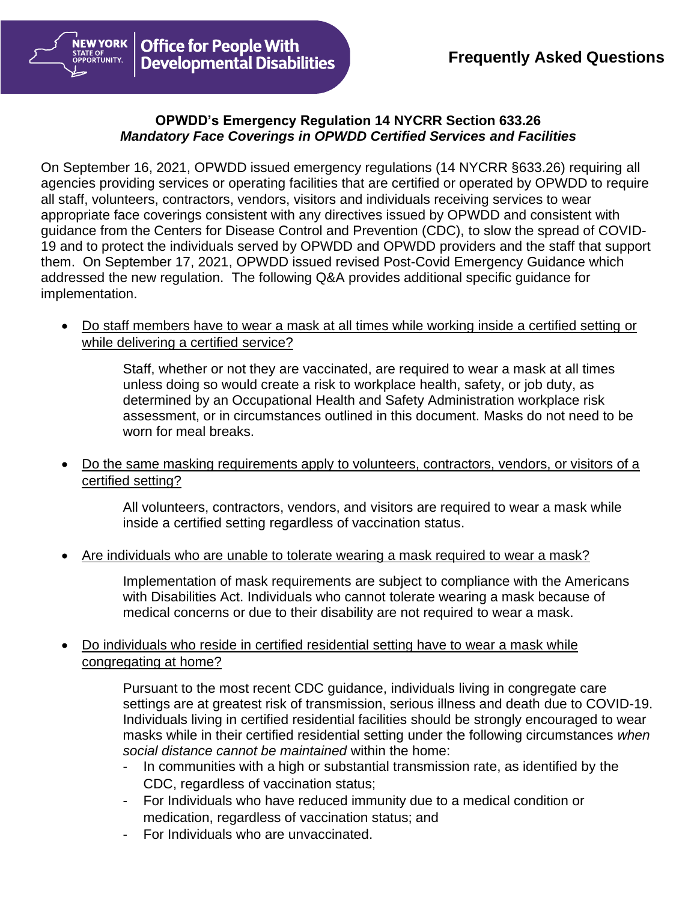

## **OPWDD's Emergency Regulation 14 NYCRR Section 633.26** *Mandatory Face Coverings in OPWDD Certified Services and Facilities*

On September 16, 2021, OPWDD issued emergency regulations (14 NYCRR §633.26) requiring all agencies providing services or operating facilities that are certified or operated by OPWDD to require all staff, volunteers, contractors, vendors, visitors and individuals receiving services to wear appropriate face coverings consistent with any directives issued by OPWDD and consistent with guidance from the Centers for Disease Control and Prevention (CDC), to slow the spread of COVID-19 and to protect the individuals served by OPWDD and OPWDD providers and the staff that support them. On September 17, 2021, OPWDD issued revised Post-Covid Emergency Guidance which addressed the new regulation. The following Q&A provides additional specific guidance for implementation.

• Do staff members have to wear a mask at all times while working inside a certified setting or while delivering a certified service?

> Staff, whether or not they are vaccinated, are required to wear a mask at all times unless doing so would create a risk to workplace health, safety, or job duty, as determined by an Occupational Health and Safety Administration workplace risk assessment, or in circumstances outlined in this document. Masks do not need to be worn for meal breaks.

• Do the same masking requirements apply to volunteers, contractors, vendors, or visitors of a certified setting?

> All volunteers, contractors, vendors, and visitors are required to wear a mask while inside a certified setting regardless of vaccination status.

• Are individuals who are unable to tolerate wearing a mask required to wear a mask?

Implementation of mask requirements are subject to compliance with the Americans with Disabilities Act. Individuals who cannot tolerate wearing a mask because of medical concerns or due to their disability are not required to wear a mask.

• Do individuals who reside in certified residential setting have to wear a mask while congregating at home?

> Pursuant to the most recent CDC guidance, individuals living in congregate care settings are at greatest risk of transmission, serious illness and death due to COVID-19. Individuals living in certified residential facilities should be strongly encouraged to wear masks while in their certified residential setting under the following circumstances *when social distance cannot be maintained* within the home:

- In communities with a high or substantial transmission rate, as identified by the CDC, regardless of vaccination status;
- For Individuals who have reduced immunity due to a medical condition or medication, regardless of vaccination status; and
- For Individuals who are unvaccinated.